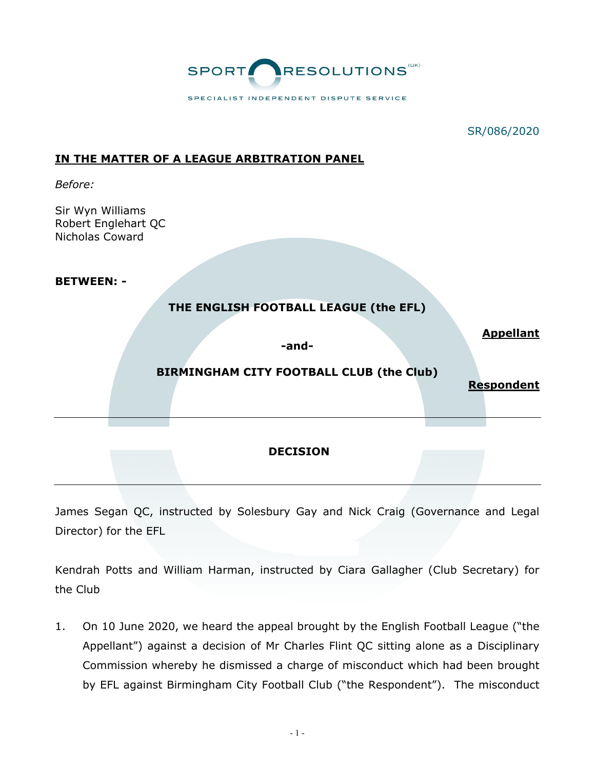

## **IN THE MATTER OF A LEAGUE ARBITRATION PANEL**

*Before:*

Sir Wyn Williams Robert Englehart QC Nicholas Coward

**BETWEEN: -**

## **THE ENGLISH FOOTBALL LEAGUE (the EFL)**

**-and-**

**Appellant**

# **BIRMINGHAM CITY FOOTBALL CLUB (the Club)**

**Respondent** 

#### **DECISION**

James Segan QC, instructed by Solesbury Gay and Nick Craig (Governance and Legal Director) for the EFL

Kendrah Potts and William Harman, instructed by Ciara Gallagher (Club Secretary) for the Club

1. On 10 June 2020, we heard the appeal brought by the English Football League ("the Appellant") against a decision of Mr Charles Flint QC sitting alone as a Disciplinary Commission whereby he dismissed a charge of misconduct which had been brought by EFL against Birmingham City Football Club ("the Respondent"). The misconduct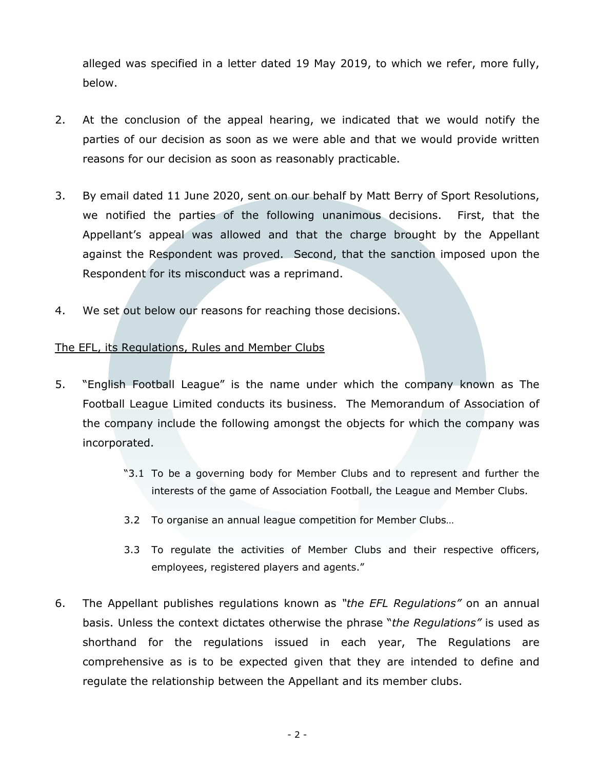alleged was specified in a letter dated 19 May 2019, to which we refer, more fully, below.

- 2. At the conclusion of the appeal hearing, we indicated that we would notify the parties of our decision as soon as we were able and that we would provide written reasons for our decision as soon as reasonably practicable.
- 3. By email dated 11 June 2020, sent on our behalf by Matt Berry of Sport Resolutions, we notified the parties of the following unanimous decisions. First, that the Appellant's appeal was allowed and that the charge brought by the Appellant against the Respondent was proved. Second, that the sanction imposed upon the Respondent for its misconduct was a reprimand.
- 4. We set out below our reasons for reaching those decisions.

## The EFL, its Regulations, Rules and Member Clubs

- 5. "English Football League" is the name under which the company known as The Football League Limited conducts its business. The Memorandum of Association of the company include the following amongst the objects for which the company was incorporated.
	- "3.1 To be a governing body for Member Clubs and to represent and further the interests of the game of Association Football, the League and Member Clubs.
	- 3.2 To organise an annual league competition for Member Clubs…
	- 3.3 To regulate the activities of Member Clubs and their respective officers, employees, registered players and agents."
- 6. The Appellant publishes regulations known as *"the EFL Regulations"* on an annual basis. Unless the context dictates otherwise the phrase "*the Regulations"* is used as shorthand for the regulations issued in each year, The Regulations are comprehensive as is to be expected given that they are intended to define and regulate the relationship between the Appellant and its member clubs.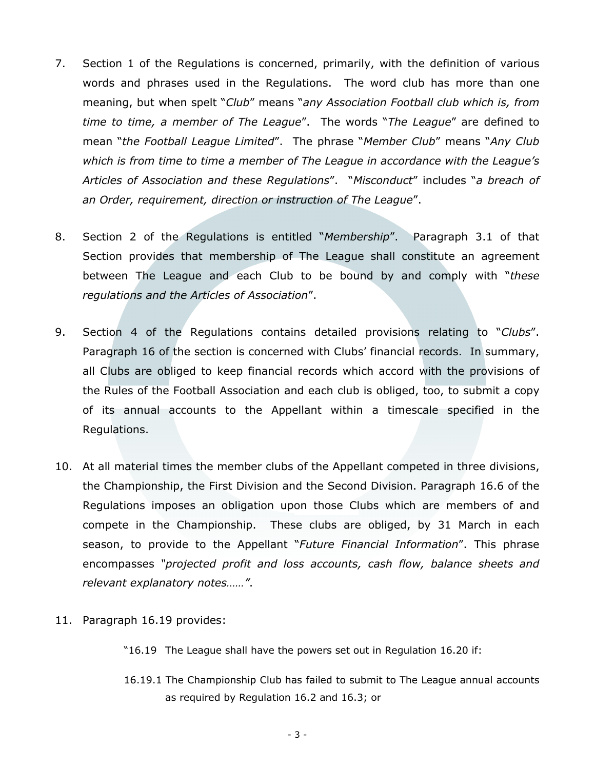- 7. Section 1 of the Regulations is concerned, primarily, with the definition of various words and phrases used in the Regulations. The word club has more than one meaning, but when spelt "*Club*" means "*any Association Football club which is, from time to time, a member of The League*". The words "*The League*" are defined to mean "*the Football League Limited*". The phrase "*Member Club*" means "*Any Club which is from time to time a member of The League in accordance with the League's Articles of Association and these Regulations*". "*Misconduct*" includes "*a breach of an Order, requirement, direction or instruction of The League*".
- 8. Section 2 of the Regulations is entitled "*Membership*". Paragraph 3.1 of that Section provides that membership of The League shall constitute an agreement between The League and each Club to be bound by and comply with "*these regulations and the Articles of Association*".
- 9. Section 4 of the Regulations contains detailed provisions relating to "*Clubs*". Paragraph 16 of the section is concerned with Clubs' financial records. In summary, all Clubs are obliged to keep financial records which accord with the provisions of the Rules of the Football Association and each club is obliged, too, to submit a copy of its annual accounts to the Appellant within a timescale specified in the Regulations.
- 10. At all material times the member clubs of the Appellant competed in three divisions, the Championship, the First Division and the Second Division. Paragraph 16.6 of the Regulations imposes an obligation upon those Clubs which are members of and compete in the Championship. These clubs are obliged, by 31 March in each season, to provide to the Appellant "*Future Financial Information*". This phrase encompasses *"projected profit and loss accounts, cash flow, balance sheets and relevant explanatory notes……"*.
- 11. Paragraph 16.19 provides:
	- "16.19 The League shall have the powers set out in Regulation 16.20 if:
	- 16.19.1 The Championship Club has failed to submit to The League annual accounts as required by Regulation 16.2 and 16.3; or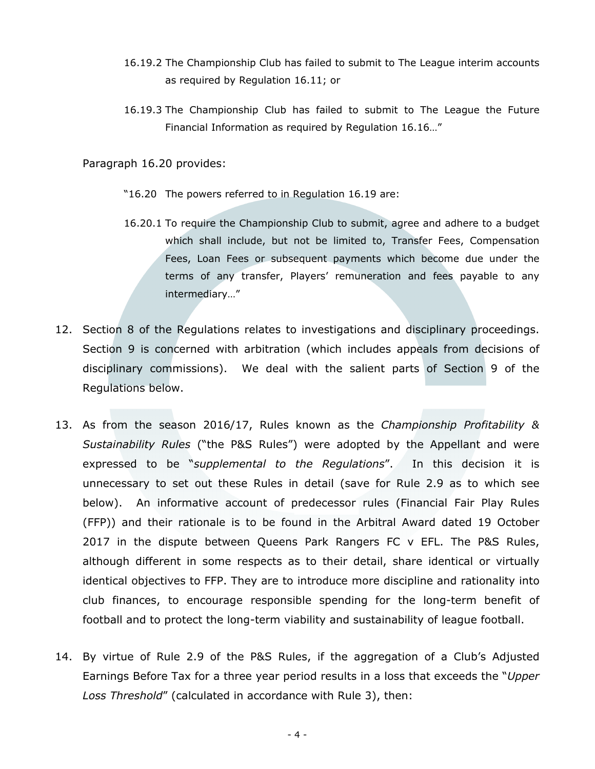- 16.19.2 The Championship Club has failed to submit to The League interim accounts as required by Regulation 16.11; or
- 16.19.3 The Championship Club has failed to submit to The League the Future Financial Information as required by Regulation 16.16…"

Paragraph 16.20 provides:

- "16.20 The powers referred to in Regulation 16.19 are:
- 16.20.1 To require the Championship Club to submit, agree and adhere to a budget which shall include, but not be limited to, Transfer Fees, Compensation Fees, Loan Fees or subsequent payments which become due under the terms of any transfer, Players' remuneration and fees payable to any intermediary…"
- 12. Section 8 of the Regulations relates to investigations and disciplinary proceedings. Section 9 is concerned with arbitration (which includes appeals from decisions of disciplinary commissions). We deal with the salient parts of Section 9 of the Regulations below.
- 13. As from the season 2016/17, Rules known as the *Championship Profitability & Sustainability Rules* ("the P&S Rules") were adopted by the Appellant and were expressed to be "*supplemental to the Regulations*". In this decision it is unnecessary to set out these Rules in detail (save for Rule 2.9 as to which see below). An informative account of predecessor rules (Financial Fair Play Rules (FFP)) and their rationale is to be found in the Arbitral Award dated 19 October 2017 in the dispute between Queens Park Rangers FC v EFL. The P&S Rules, although different in some respects as to their detail, share identical or virtually identical objectives to FFP. They are to introduce more discipline and rationality into club finances, to encourage responsible spending for the long-term benefit of football and to protect the long-term viability and sustainability of league football.
- 14. By virtue of Rule 2.9 of the P&S Rules, if the aggregation of a Club's Adjusted Earnings Before Tax for a three year period results in a loss that exceeds the "*Upper Loss Threshold*" (calculated in accordance with Rule 3), then: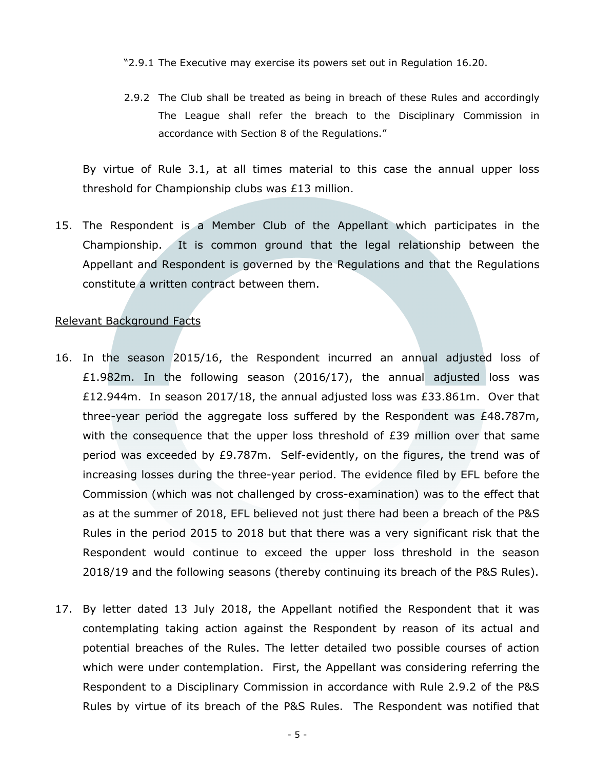- "2.9.1 The Executive may exercise its powers set out in Regulation 16.20.
- 2.9.2 The Club shall be treated as being in breach of these Rules and accordingly The League shall refer the breach to the Disciplinary Commission in accordance with Section 8 of the Regulations."

By virtue of Rule 3.1, at all times material to this case the annual upper loss threshold for Championship clubs was £13 million.

15. The Respondent is a Member Club of the Appellant which participates in the Championship. It is common ground that the legal relationship between the Appellant and Respondent is governed by the Regulations and that the Regulations constitute a written contract between them.

#### Relevant Background Facts

- 16. In the season 2015/16, the Respondent incurred an annual adjusted loss of £1.982m. In the following season (2016/17), the annual adjusted loss was £12.944m. In season 2017/18, the annual adjusted loss was £33.861m. Over that three-year period the aggregate loss suffered by the Respondent was £48.787m, with the consequence that the upper loss threshold of  $E39$  million over that same period was exceeded by £9.787m. Self-evidently, on the figures, the trend was of increasing losses during the three-year period. The evidence filed by EFL before the Commission (which was not challenged by cross-examination) was to the effect that as at the summer of 2018, EFL believed not just there had been a breach of the P&S Rules in the period 2015 to 2018 but that there was a very significant risk that the Respondent would continue to exceed the upper loss threshold in the season 2018/19 and the following seasons (thereby continuing its breach of the P&S Rules).
- 17. By letter dated 13 July 2018, the Appellant notified the Respondent that it was contemplating taking action against the Respondent by reason of its actual and potential breaches of the Rules. The letter detailed two possible courses of action which were under contemplation. First, the Appellant was considering referring the Respondent to a Disciplinary Commission in accordance with Rule 2.9.2 of the P&S Rules by virtue of its breach of the P&S Rules. The Respondent was notified that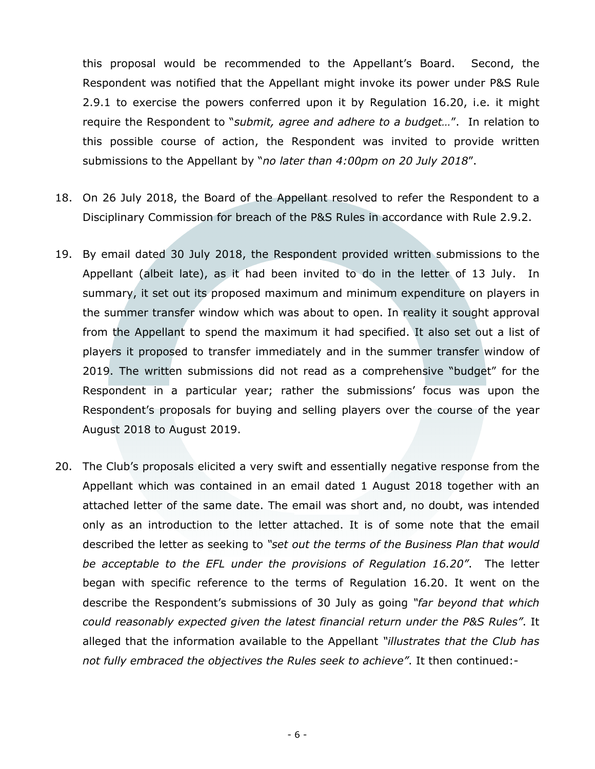this proposal would be recommended to the Appellant's Board. Second, the Respondent was notified that the Appellant might invoke its power under P&S Rule 2.9.1 to exercise the powers conferred upon it by Regulation 16.20, i.e. it might require the Respondent to "*submit, agree and adhere to a budget…*". In relation to this possible course of action, the Respondent was invited to provide written submissions to the Appellant by "*no later than 4:00pm on 20 July 2018*".

- 18. On 26 July 2018, the Board of the Appellant resolved to refer the Respondent to a Disciplinary Commission for breach of the P&S Rules in accordance with Rule 2.9.2.
- 19. By email dated 30 July 2018, the Respondent provided written submissions to the Appellant (albeit late), as it had been invited to do in the letter of 13 July. In summary, it set out its proposed maximum and minimum expenditure on players in the summer transfer window which was about to open. In reality it sought approval from the Appellant to spend the maximum it had specified. It also set out a list of players it proposed to transfer immediately and in the summer transfer window of 2019. The written submissions did not read as a comprehensive "budget" for the Respondent in a particular year; rather the submissions' focus was upon the Respondent's proposals for buying and selling players over the course of the year August 2018 to August 2019.
- 20. The Club's proposals elicited a very swift and essentially negative response from the Appellant which was contained in an email dated 1 August 2018 together with an attached letter of the same date. The email was short and, no doubt, was intended only as an introduction to the letter attached. It is of some note that the email described the letter as seeking to *"set out the terms of the Business Plan that would be acceptable to the EFL under the provisions of Regulation 16.20"*. The letter began with specific reference to the terms of Regulation 16.20. It went on the describe the Respondent's submissions of 30 July as going *"far beyond that which could reasonably expected given the latest financial return under the P&S Rules"*. It alleged that the information available to the Appellant *"illustrates that the Club has not fully embraced the objectives the Rules seek to achieve"*. It then continued:-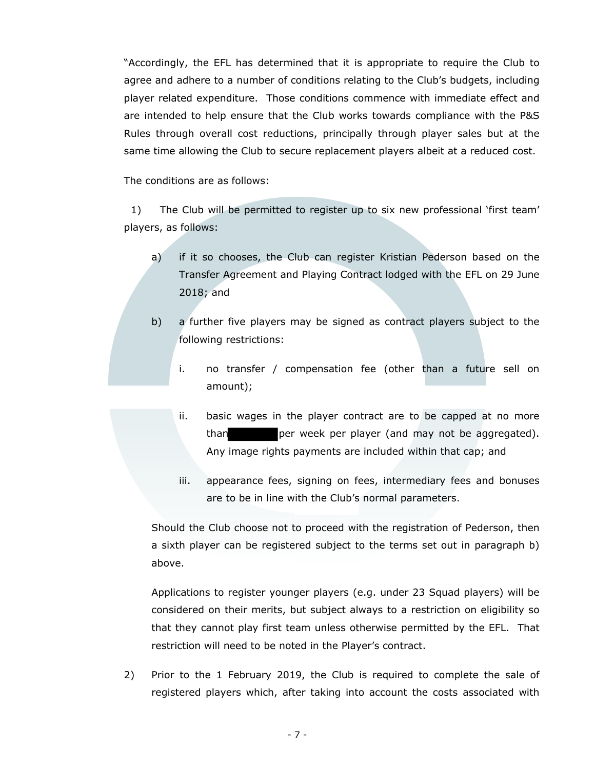"Accordingly, the EFL has determined that it is appropriate to require the Club to agree and adhere to a number of conditions relating to the Club's budgets, including player related expenditure. Those conditions commence with immediate effect and are intended to help ensure that the Club works towards compliance with the P&S Rules through overall cost reductions, principally through player sales but at the same time allowing the Club to secure replacement players albeit at a reduced cost.

The conditions are as follows:

 1) The Club will be permitted to register up to six new professional 'first team' players, as follows:

- a) if it so chooses, the Club can register Kristian Pederson based on the Transfer Agreement and Playing Contract lodged with the EFL on 29 June 2018; and
- b) a further five players may be signed as contract players subject to the following restrictions:
	- i. no transfer / compensation fee (other than a future sell on amount);
	- ii. basic wages in the player contract are to be capped at no more than per week per player (and may not be aggregated). Any image rights payments are included within that cap; and
	- iii. appearance fees, signing on fees, intermediary fees and bonuses are to be in line with the Club's normal parameters.

Should the Club choose not to proceed with the registration of Pederson, then a sixth player can be registered subject to the terms set out in paragraph b) above.

Applications to register younger players (e.g. under 23 Squad players) will be considered on their merits, but subject always to a restriction on eligibility so that they cannot play first team unless otherwise permitted by the EFL. That restriction will need to be noted in the Player's contract.

2) Prior to the 1 February 2019, the Club is required to complete the sale of registered players which, after taking into account the costs associated with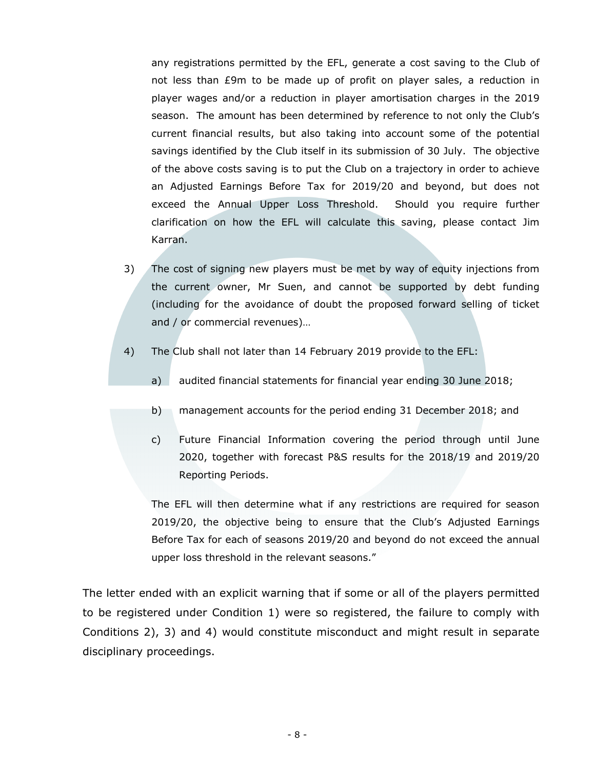any registrations permitted by the EFL, generate a cost saving to the Club of not less than £9m to be made up of profit on player sales, a reduction in player wages and/or a reduction in player amortisation charges in the 2019 season. The amount has been determined by reference to not only the Club's current financial results, but also taking into account some of the potential savings identified by the Club itself in its submission of 30 July. The objective of the above costs saving is to put the Club on a trajectory in order to achieve an Adjusted Earnings Before Tax for 2019/20 and beyond, but does not exceed the Annual Upper Loss Threshold. Should you require further clarification on how the EFL will calculate this saving, please contact Jim Karran.

- 3) The cost of signing new players must be met by way of equity injections from the current owner, Mr Suen, and cannot be supported by debt funding (including for the avoidance of doubt the proposed forward selling of ticket and / or commercial revenues)…
- 4) The Club shall not later than 14 February 2019 provide to the EFL:
	- a) audited financial statements for financial year ending 30 June 2018;
	- b) management accounts for the period ending 31 December 2018; and
	- c) Future Financial Information covering the period through until June 2020, together with forecast P&S results for the 2018/19 and 2019/20 Reporting Periods.

The EFL will then determine what if any restrictions are required for season 2019/20, the objective being to ensure that the Club's Adjusted Earnings Before Tax for each of seasons 2019/20 and beyond do not exceed the annual upper loss threshold in the relevant seasons."

The letter ended with an explicit warning that if some or all of the players permitted to be registered under Condition 1) were so registered, the failure to comply with Conditions 2), 3) and 4) would constitute misconduct and might result in separate disciplinary proceedings.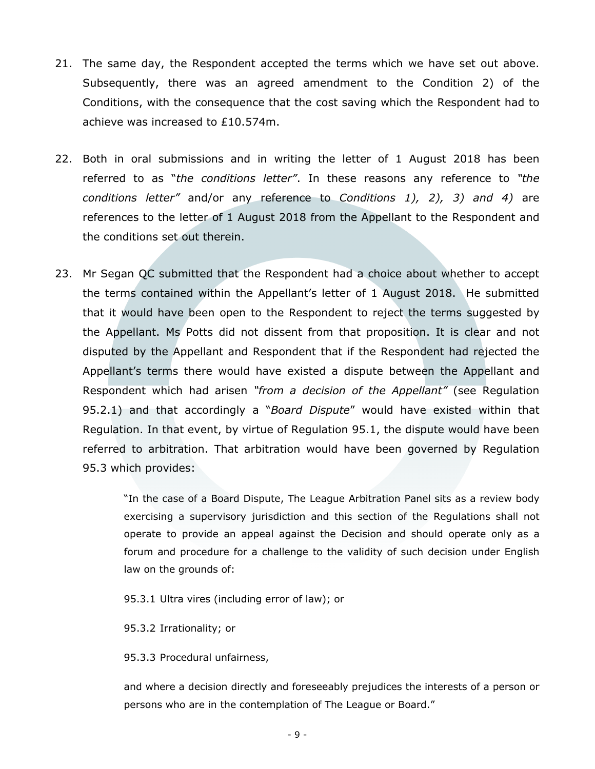- 21. The same day, the Respondent accepted the terms which we have set out above. Subsequently, there was an agreed amendment to the Condition 2) of the Conditions, with the consequence that the cost saving which the Respondent had to achieve was increased to £10.574m.
- 22. Both in oral submissions and in writing the letter of 1 August 2018 has been referred to as "*the conditions letter"*. In these reasons any reference to *"the conditions letter"* and/or any reference to *Conditions 1), 2), 3) and 4)* are references to the letter of 1 August 2018 from the Appellant to the Respondent and the conditions set out therein.
- 23. Mr Segan QC submitted that the Respondent had a choice about whether to accept the terms contained within the Appellant's letter of 1 August 2018. He submitted that it would have been open to the Respondent to reject the terms suggested by the Appellant. Ms Potts did not dissent from that proposition. It is clear and not disputed by the Appellant and Respondent that if the Respondent had rejected the Appellant's terms there would have existed a dispute between the Appellant and Respondent which had arisen *"from a decision of the Appellant"* (see Regulation 95.2.1) and that accordingly a "*Board Dispute*" would have existed within that Regulation. In that event, by virtue of Regulation 95.1, the dispute would have been referred to arbitration. That arbitration would have been governed by Regulation 95.3 which provides:

"In the case of a Board Dispute, The League Arbitration Panel sits as a review body exercising a supervisory jurisdiction and this section of the Regulations shall not operate to provide an appeal against the Decision and should operate only as a forum and procedure for a challenge to the validity of such decision under English law on the grounds of:

95.3.1 Ultra vires (including error of law); or

95.3.2 Irrationality; or

95.3.3 Procedural unfairness,

and where a decision directly and foreseeably prejudices the interests of a person or persons who are in the contemplation of The League or Board."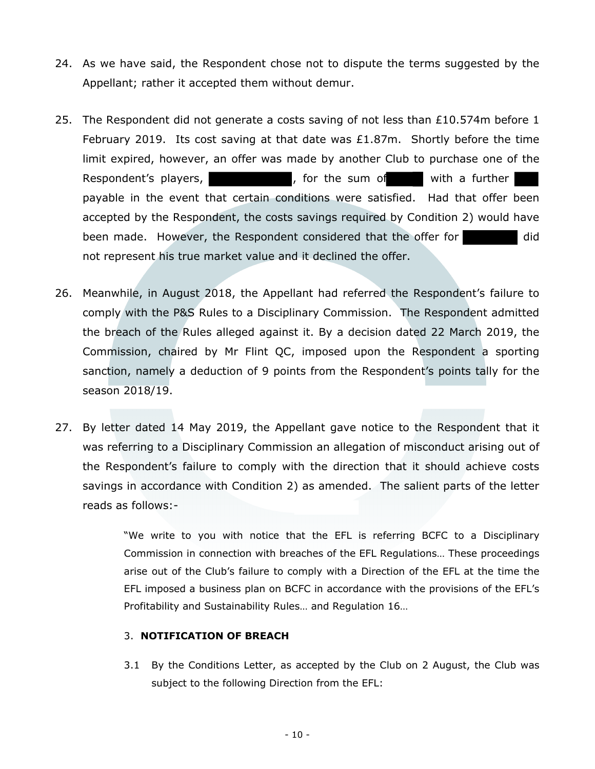- 24. As we have said, the Respondent chose not to dispute the terms suggested by the Appellant; rather it accepted them without demur.
- 25. The Respondent did not generate a costs saving of not less than  $£10.574$ m before 1 February 2019. Its cost saving at that date was £1.87m. Shortly before the time limit expired, however, an offer was made by another Club to purchase one of the Respondent's players, The Massim controller is the sum of the with a further payable in the event that certain conditions were satisfied. Had that offer been accepted by the Respondent, the costs savings required by Condition 2) would have been made. However, the Respondent considered that the offer for and did not represent his true market value and it declined the offer.
- 26. Meanwhile, in August 2018, the Appellant had referred the Respondent's failure to comply with the P&S Rules to a Disciplinary Commission. The Respondent admitted the breach of the Rules alleged against it. By a decision dated 22 March 2019, the Commission, chaired by Mr Flint QC, imposed upon the Respondent a sporting sanction, namely a deduction of 9 points from the Respondent's points tally for the season 2018/19.
- 27. By letter dated 14 May 2019, the Appellant gave notice to the Respondent that it was referring to a Disciplinary Commission an allegation of misconduct arising out of the Respondent's failure to comply with the direction that it should achieve costs savings in accordance with Condition 2) as amended. The salient parts of the letter reads as follows:-

"We write to you with notice that the EFL is referring BCFC to a Disciplinary Commission in connection with breaches of the EFL Regulations… These proceedings arise out of the Club's failure to comply with a Direction of the EFL at the time the EFL imposed a business plan on BCFC in accordance with the provisions of the EFL's Profitability and Sustainability Rules… and Regulation 16…

#### 3. **NOTIFICATION OF BREACH**

3.1 By the Conditions Letter, as accepted by the Club on 2 August, the Club was subject to the following Direction from the EFL: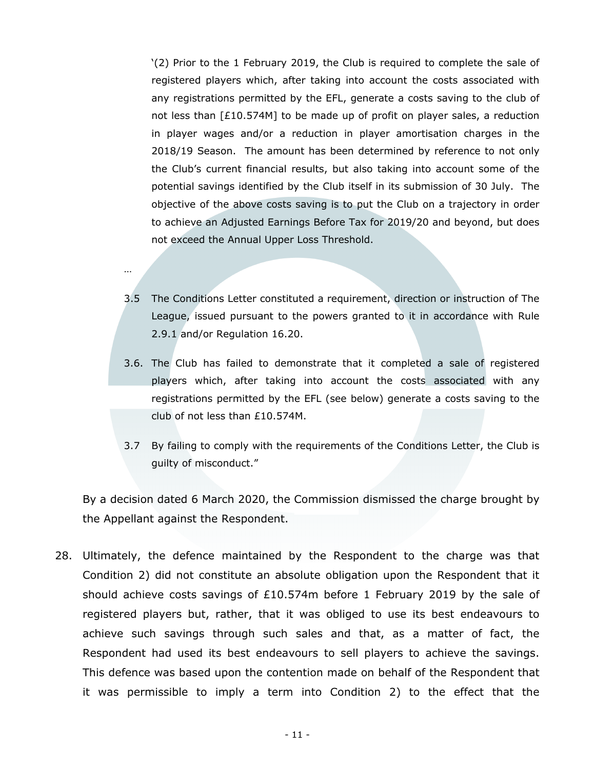'(2) Prior to the 1 February 2019, the Club is required to complete the sale of registered players which, after taking into account the costs associated with any registrations permitted by the EFL, generate a costs saving to the club of not less than [£10.574M] to be made up of profit on player sales, a reduction in player wages and/or a reduction in player amortisation charges in the 2018/19 Season. The amount has been determined by reference to not only the Club's current financial results, but also taking into account some of the potential savings identified by the Club itself in its submission of 30 July. The objective of the above costs saving is to put the Club on a trajectory in order to achieve an Adjusted Earnings Before Tax for 2019/20 and beyond, but does not exceed the Annual Upper Loss Threshold.

3.5 The Conditions Letter constituted a requirement, direction or instruction of The League, issued pursuant to the powers granted to it in accordance with Rule 2.9.1 and/or Regulation 16.20.

…

- 3.6. The Club has failed to demonstrate that it completed a sale of registered players which, after taking into account the costs associated with any registrations permitted by the EFL (see below) generate a costs saving to the club of not less than £10.574M.
- 3.7 By failing to comply with the requirements of the Conditions Letter, the Club is guilty of misconduct."

By a decision dated 6 March 2020, the Commission dismissed the charge brought by the Appellant against the Respondent.

28. Ultimately, the defence maintained by the Respondent to the charge was that Condition 2) did not constitute an absolute obligation upon the Respondent that it should achieve costs savings of  $£10.574m$  before 1 February 2019 by the sale of registered players but, rather, that it was obliged to use its best endeavours to achieve such savings through such sales and that, as a matter of fact, the Respondent had used its best endeavours to sell players to achieve the savings. This defence was based upon the contention made on behalf of the Respondent that it was permissible to imply a term into Condition 2) to the effect that the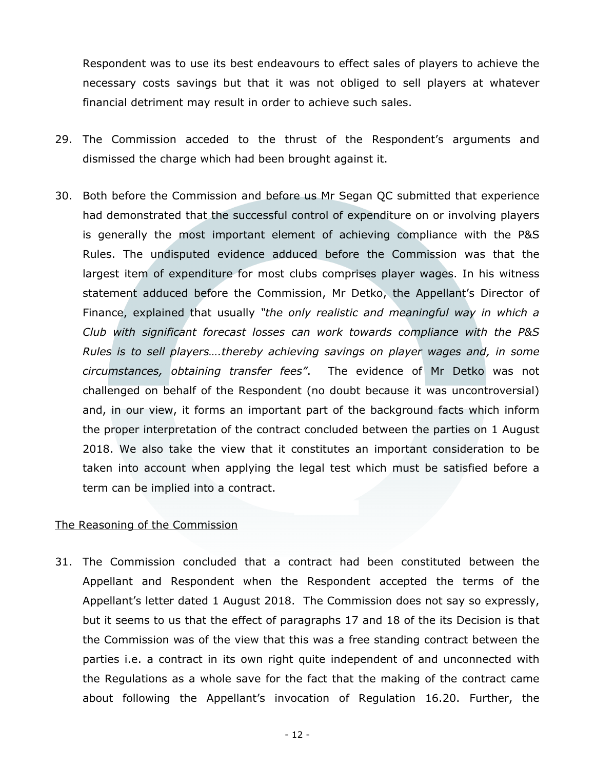Respondent was to use its best endeavours to effect sales of players to achieve the necessary costs savings but that it was not obliged to sell players at whatever financial detriment may result in order to achieve such sales.

- 29. The Commission acceded to the thrust of the Respondent's arguments and dismissed the charge which had been brought against it.
- 30. Both before the Commission and before us Mr Segan QC submitted that experience had demonstrated that the successful control of expenditure on or involving players is generally the most important element of achieving compliance with the P&S Rules. The undisputed evidence adduced before the Commission was that the largest item of expenditure for most clubs comprises player wages. In his witness statement adduced before the Commission, Mr Detko, the Appellant's Director of Finance, explained that usually *"the only realistic and meaningful way in which a Club with significant forecast losses can work towards compliance with the P&S Rules is to sell players….thereby achieving savings on player wages and, in some circumstances, obtaining transfer fees"*. The evidence of Mr Detko was not challenged on behalf of the Respondent (no doubt because it was uncontroversial) and, in our view, it forms an important part of the background facts which inform the proper interpretation of the contract concluded between the parties on 1 August 2018. We also take the view that it constitutes an important consideration to be taken into account when applying the legal test which must be satisfied before a term can be implied into a contract.

#### The Reasoning of the Commission

31. The Commission concluded that a contract had been constituted between the Appellant and Respondent when the Respondent accepted the terms of the Appellant's letter dated 1 August 2018. The Commission does not say so expressly, but it seems to us that the effect of paragraphs 17 and 18 of the its Decision is that the Commission was of the view that this was a free standing contract between the parties i.e. a contract in its own right quite independent of and unconnected with the Regulations as a whole save for the fact that the making of the contract came about following the Appellant's invocation of Regulation 16.20. Further, the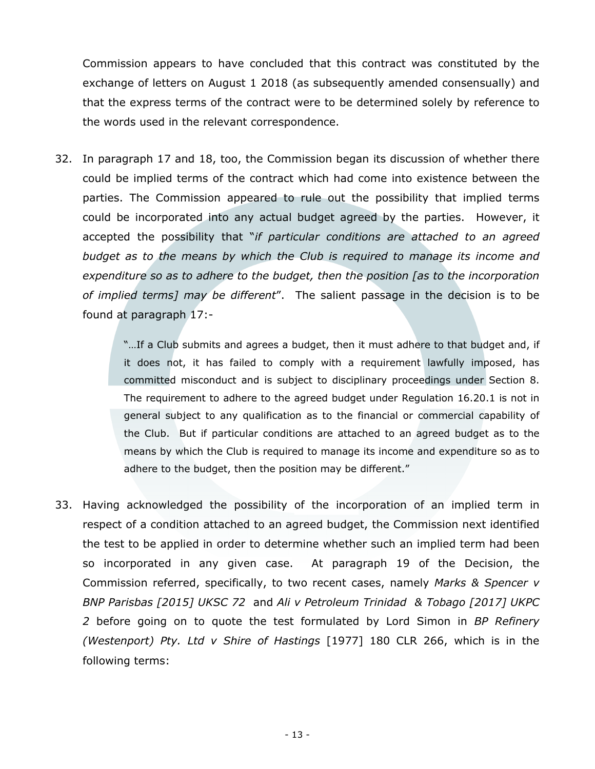Commission appears to have concluded that this contract was constituted by the exchange of letters on August 1 2018 (as subsequently amended consensually) and that the express terms of the contract were to be determined solely by reference to the words used in the relevant correspondence.

32. In paragraph 17 and 18, too, the Commission began its discussion of whether there could be implied terms of the contract which had come into existence between the parties. The Commission appeared to rule out the possibility that implied terms could be incorporated into any actual budget agreed by the parties. However, it accepted the possibility that "*if particular conditions are attached to an agreed budget as to the means by which the Club is required to manage its income and expenditure so as to adhere to the budget, then the position [as to the incorporation of implied terms] may be different*". The salient passage in the decision is to be found at paragraph 17:-

> "…If a Club submits and agrees a budget, then it must adhere to that budget and, if it does not, it has failed to comply with a requirement lawfully imposed, has committed misconduct and is subject to disciplinary proceedings under Section 8. The requirement to adhere to the agreed budget under Regulation 16.20.1 is not in general subject to any qualification as to the financial or commercial capability of the Club. But if particular conditions are attached to an agreed budget as to the means by which the Club is required to manage its income and expenditure so as to adhere to the budget, then the position may be different."

33. Having acknowledged the possibility of the incorporation of an implied term in respect of a condition attached to an agreed budget, the Commission next identified the test to be applied in order to determine whether such an implied term had been so incorporated in any given case. At paragraph 19 of the Decision, the Commission referred, specifically, to two recent cases, namely *Marks & Spencer v BNP Parisbas [2015] UKSC 72* and *Ali v Petroleum Trinidad & Tobago [2017] UKPC 2* before going on to quote the test formulated by Lord Simon in *BP Refinery (Westenport) Pty. Ltd v Shire of Hastings* [1977] 180 CLR 266, which is in the following terms: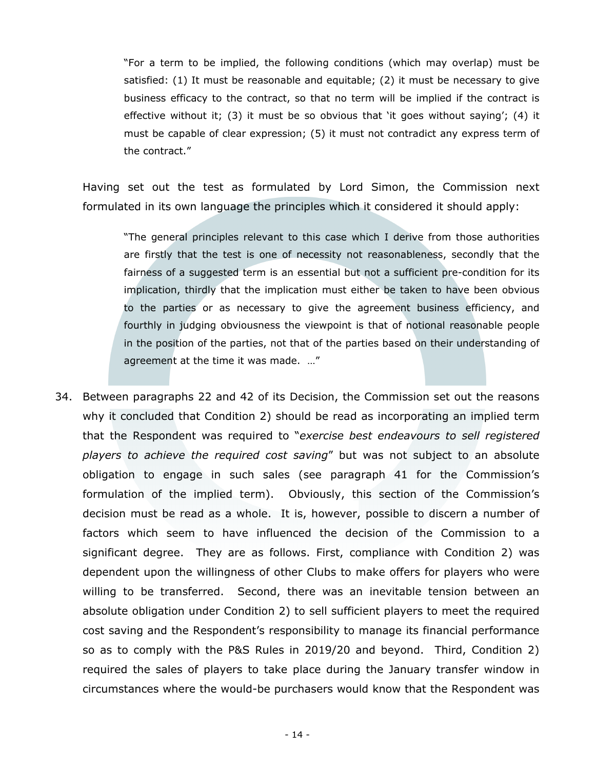"For a term to be implied, the following conditions (which may overlap) must be satisfied: (1) It must be reasonable and equitable; (2) it must be necessary to give business efficacy to the contract, so that no term will be implied if the contract is effective without it; (3) it must be so obvious that 'it goes without saying'; (4) it must be capable of clear expression; (5) it must not contradict any express term of the contract."

Having set out the test as formulated by Lord Simon, the Commission next formulated in its own language the principles which it considered it should apply:

"The general principles relevant to this case which I derive from those authorities are firstly that the test is one of necessity not reasonableness, secondly that the fairness of a suggested term is an essential but not a sufficient pre-condition for its implication, thirdly that the implication must either be taken to have been obvious to the parties or as necessary to give the agreement business efficiency, and fourthly in judging obviousness the viewpoint is that of notional reasonable people in the position of the parties, not that of the parties based on their understanding of agreement at the time it was made. …"

34. Between paragraphs 22 and 42 of its Decision, the Commission set out the reasons why it concluded that Condition 2) should be read as incorporating an implied term that the Respondent was required to "*exercise best endeavours to sell registered players to achieve the required cost saving*" but was not subject to an absolute obligation to engage in such sales (see paragraph 41 for the Commission's formulation of the implied term). Obviously, this section of the Commission's decision must be read as a whole. It is, however, possible to discern a number of factors which seem to have influenced the decision of the Commission to a significant degree. They are as follows. First, compliance with Condition 2) was dependent upon the willingness of other Clubs to make offers for players who were willing to be transferred. Second, there was an inevitable tension between an absolute obligation under Condition 2) to sell sufficient players to meet the required cost saving and the Respondent's responsibility to manage its financial performance so as to comply with the P&S Rules in 2019/20 and beyond. Third, Condition 2) required the sales of players to take place during the January transfer window in circumstances where the would-be purchasers would know that the Respondent was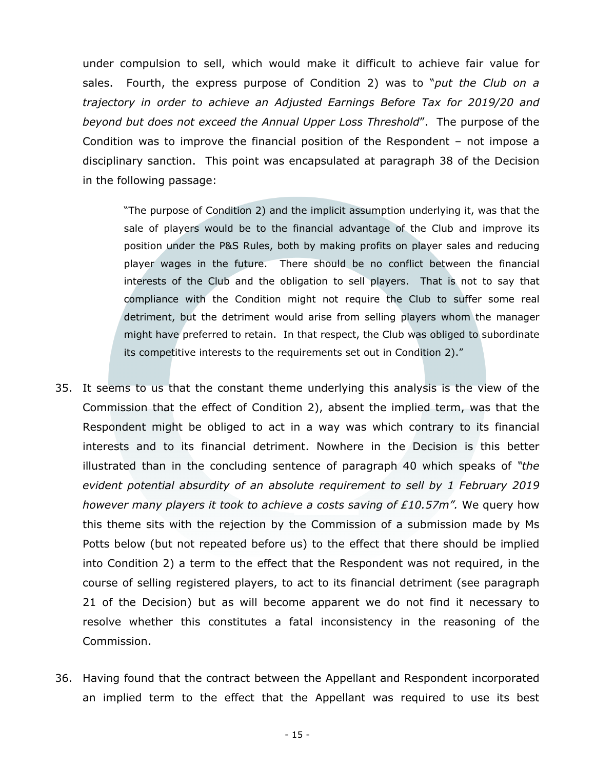under compulsion to sell, which would make it difficult to achieve fair value for sales. Fourth, the express purpose of Condition 2) was to "*put the Club on a trajectory in order to achieve an Adjusted Earnings Before Tax for 2019/20 and beyond but does not exceed the Annual Upper Loss Threshold*". The purpose of the Condition was to improve the financial position of the Respondent – not impose a disciplinary sanction. This point was encapsulated at paragraph 38 of the Decision in the following passage:

"The purpose of Condition 2) and the implicit assumption underlying it, was that the sale of players would be to the financial advantage of the Club and improve its position under the P&S Rules, both by making profits on player sales and reducing player wages in the future. There should be no conflict between the financial interests of the Club and the obligation to sell players. That is not to say that compliance with the Condition might not require the Club to suffer some real detriment, but the detriment would arise from selling players whom the manager might have preferred to retain. In that respect, the Club was obliged to subordinate its competitive interests to the requirements set out in Condition 2)."

- 35. It seems to us that the constant theme underlying this analysis is the view of the Commission that the effect of Condition 2), absent the implied term, was that the Respondent might be obliged to act in a way was which contrary to its financial interests and to its financial detriment. Nowhere in the Decision is this better illustrated than in the concluding sentence of paragraph 40 which speaks of *"the evident potential absurdity of an absolute requirement to sell by 1 February 2019 however many players it took to achieve a costs saving of £10.57m".* We query how this theme sits with the rejection by the Commission of a submission made by Ms Potts below (but not repeated before us) to the effect that there should be implied into Condition 2) a term to the effect that the Respondent was not required, in the course of selling registered players, to act to its financial detriment (see paragraph 21 of the Decision) but as will become apparent we do not find it necessary to resolve whether this constitutes a fatal inconsistency in the reasoning of the Commission.
- 36. Having found that the contract between the Appellant and Respondent incorporated an implied term to the effect that the Appellant was required to use its best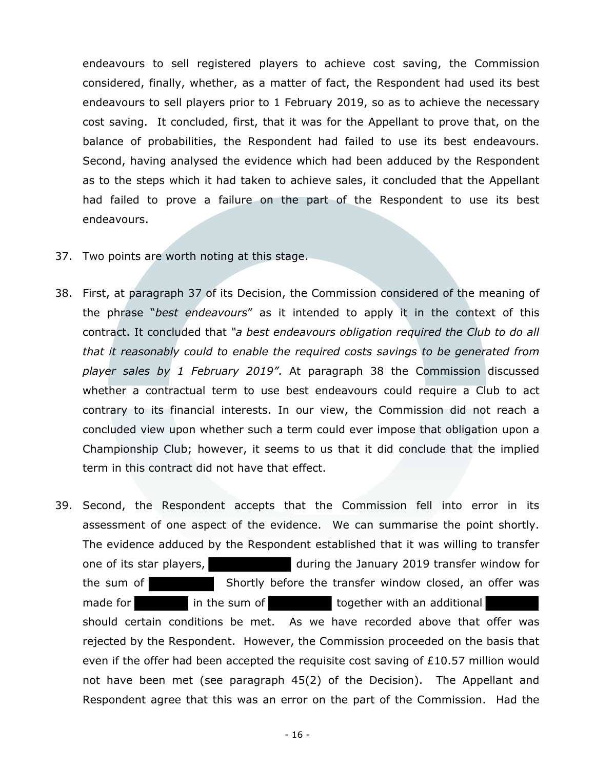endeavours to sell registered players to achieve cost saving, the Commission considered, finally, whether, as a matter of fact, the Respondent had used its best endeavours to sell players prior to 1 February 2019, so as to achieve the necessary cost saving. It concluded, first, that it was for the Appellant to prove that, on the balance of probabilities, the Respondent had failed to use its best endeavours. Second, having analysed the evidence which had been adduced by the Respondent as to the steps which it had taken to achieve sales, it concluded that the Appellant had failed to prove a failure on the part of the Respondent to use its best endeavours.

- 37. Two points are worth noting at this stage.
- 38. First, at paragraph 37 of its Decision, the Commission considered of the meaning of the phrase "*best endeavours*" as it intended to apply it in the context of this contract. It concluded that *"a best endeavours obligation required the Club to do all that it reasonably could to enable the required costs savings to be generated from player sales by 1 February 2019"*. At paragraph 38 the Commission discussed whether a contractual term to use best endeavours could require a Club to act contrary to its financial interests. In our view, the Commission did not reach a concluded view upon whether such a term could ever impose that obligation upon a Championship Club; however, it seems to us that it did conclude that the implied term in this contract did not have that effect.
- 39. Second, the Respondent accepts that the Commission fell into error in its assessment of one aspect of the evidence. We can summarise the point shortly. The evidence adduced by the Respondent established that it was willing to transfer one of its star players, and the January 2019 transfer window for the sum of Shortly before the transfer window closed, an offer was made for in the sum of together with an additional should certain conditions be met. As we have recorded above that offer was rejected by the Respondent. However, the Commission proceeded on the basis that even if the offer had been accepted the requisite cost saving of £10.57 million would not have been met (see paragraph 45(2) of the Decision). The Appellant and Respondent agree that this was an error on the part of the Commission. Had the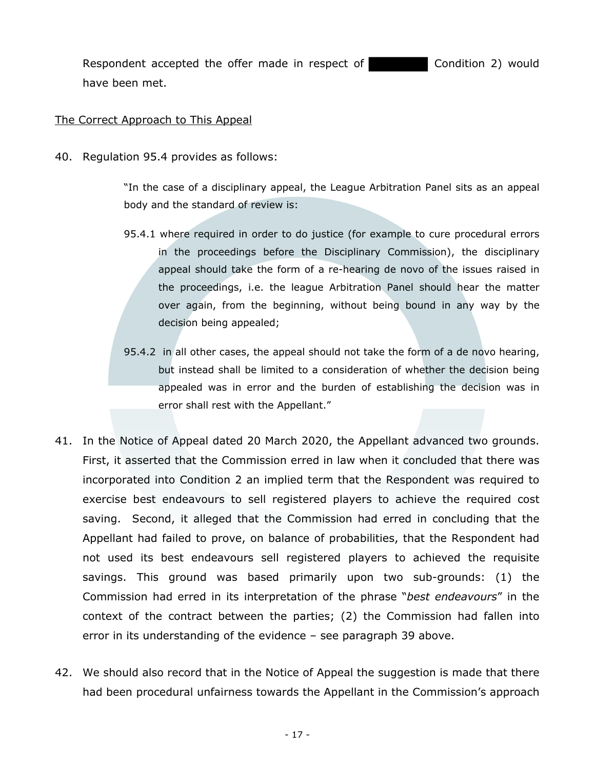Respondent accepted the offer made in respect of **Condition 2** would have been met.

### The Correct Approach to This Appeal

40. Regulation 95.4 provides as follows:

"In the case of a disciplinary appeal, the League Arbitration Panel sits as an appeal body and the standard of review is:

- 95.4.1 where required in order to do justice (for example to cure procedural errors in the proceedings before the Disciplinary Commission), the disciplinary appeal should take the form of a re-hearing de novo of the issues raised in the proceedings, i.e. the league Arbitration Panel should hear the matter over again, from the beginning, without being bound in any way by the decision being appealed;
- 95.4.2 in all other cases, the appeal should not take the form of a de novo hearing, but instead shall be limited to a consideration of whether the decision being appealed was in error and the burden of establishing the decision was in error shall rest with the Appellant."
- 41. In the Notice of Appeal dated 20 March 2020, the Appellant advanced two grounds. First, it asserted that the Commission erred in law when it concluded that there was incorporated into Condition 2 an implied term that the Respondent was required to exercise best endeavours to sell registered players to achieve the required cost saving. Second, it alleged that the Commission had erred in concluding that the Appellant had failed to prove, on balance of probabilities, that the Respondent had not used its best endeavours sell registered players to achieved the requisite savings. This ground was based primarily upon two sub-grounds: (1) the Commission had erred in its interpretation of the phrase "*best endeavours*" in the context of the contract between the parties; (2) the Commission had fallen into error in its understanding of the evidence – see paragraph 39 above.
- 42. We should also record that in the Notice of Appeal the suggestion is made that there had been procedural unfairness towards the Appellant in the Commission's approach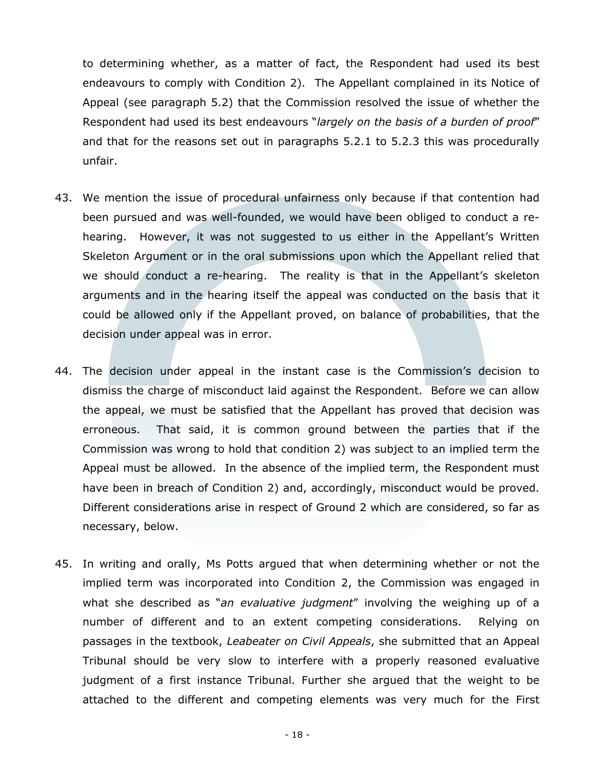to determining whether, as a matter of fact, the Respondent had used its best endeavours to comply with Condition 2). The Appellant complained in its Notice of Appeal (see paragraph 5.2) that the Commission resolved the issue of whether the Respondent had used its best endeavours "*largely on the basis of a burden of proof*" and that for the reasons set out in paragraphs 5.2.1 to 5.2.3 this was procedurally unfair.

- 43. We mention the issue of procedural unfairness only because if that contention had been pursued and was well-founded, we would have been obliged to conduct a rehearing. However, it was not suggested to us either in the Appellant's Written Skeleton Argument or in the oral submissions upon which the Appellant relied that we should conduct a re-hearing. The reality is that in the Appellant's skeleton arguments and in the hearing itself the appeal was conducted on the basis that it could be allowed only if the Appellant proved, on balance of probabilities, that the decision under appeal was in error.
- 44. The decision under appeal in the instant case is the Commission's decision to dismiss the charge of misconduct laid against the Respondent. Before we can allow the appeal, we must be satisfied that the Appellant has proved that decision was erroneous. That said, it is common ground between the parties that if the Commission was wrong to hold that condition 2) was subject to an implied term the Appeal must be allowed. In the absence of the implied term, the Respondent must have been in breach of Condition 2) and, accordingly, misconduct would be proved. Different considerations arise in respect of Ground 2 which are considered, so far as necessary, below.
- 45. In writing and orally, Ms Potts argued that when determining whether or not the implied term was incorporated into Condition 2, the Commission was engaged in what she described as "*an evaluative judgment*" involving the weighing up of a number of different and to an extent competing considerations. Relying on passages in the textbook, *Leabeater on Civil Appeals*, she submitted that an Appeal Tribunal should be very slow to interfere with a properly reasoned evaluative judgment of a first instance Tribunal. Further she argued that the weight to be attached to the different and competing elements was very much for the First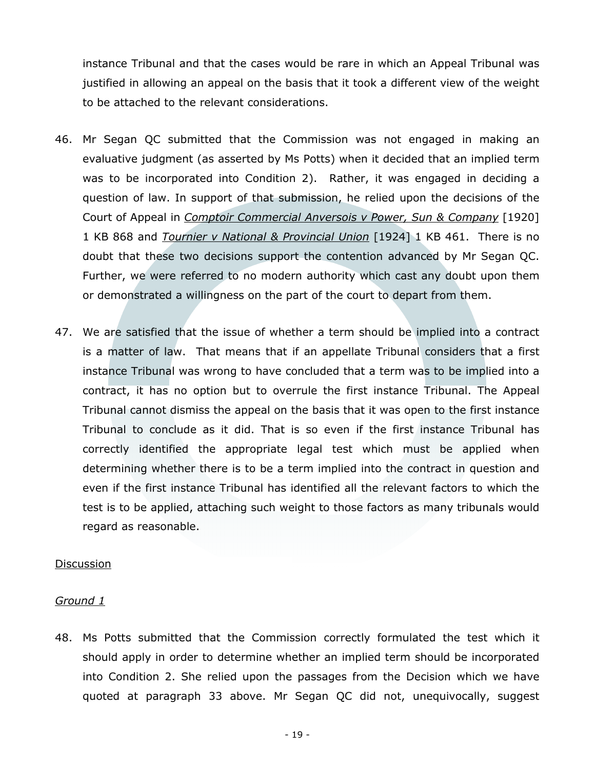instance Tribunal and that the cases would be rare in which an Appeal Tribunal was justified in allowing an appeal on the basis that it took a different view of the weight to be attached to the relevant considerations.

- 46. Mr Segan QC submitted that the Commission was not engaged in making an evaluative judgment (as asserted by Ms Potts) when it decided that an implied term was to be incorporated into Condition 2). Rather, it was engaged in deciding a question of law. In support of that submission, he relied upon the decisions of the Court of Appeal in *Comptoir Commercial Anversois v Power, Sun & Company* [1920] 1 KB 868 and *Tournier v National & Provincial Union* [1924] 1 KB 461. There is no doubt that these two decisions support the contention advanced by Mr Segan QC. Further, we were referred to no modern authority which cast any doubt upon them or demonstrated a willingness on the part of the court to depart from them.
- 47. We are satisfied that the issue of whether a term should be implied into a contract is a matter of law. That means that if an appellate Tribunal considers that a first instance Tribunal was wrong to have concluded that a term was to be implied into a contract, it has no option but to overrule the first instance Tribunal. The Appeal Tribunal cannot dismiss the appeal on the basis that it was open to the first instance Tribunal to conclude as it did. That is so even if the first instance Tribunal has correctly identified the appropriate legal test which must be applied when determining whether there is to be a term implied into the contract in question and even if the first instance Tribunal has identified all the relevant factors to which the test is to be applied, attaching such weight to those factors as many tribunals would regard as reasonable.

#### **Discussion**

## *Ground 1*

48. Ms Potts submitted that the Commission correctly formulated the test which it should apply in order to determine whether an implied term should be incorporated into Condition 2. She relied upon the passages from the Decision which we have quoted at paragraph 33 above. Mr Segan QC did not, unequivocally, suggest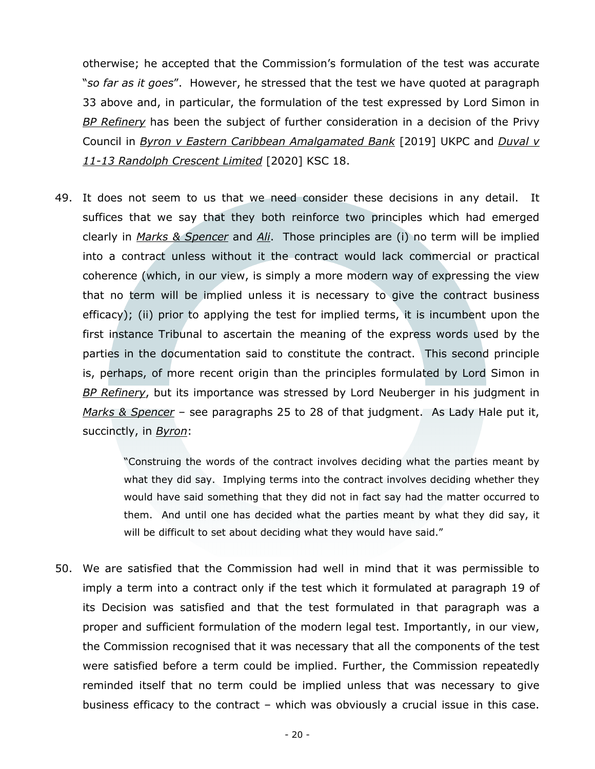otherwise; he accepted that the Commission's formulation of the test was accurate "*so far as it goes*". However, he stressed that the test we have quoted at paragraph 33 above and, in particular, the formulation of the test expressed by Lord Simon in *BP Refinery* has been the subject of further consideration in a decision of the Privy Council in *Byron v Eastern Caribbean Amalgamated Bank* [2019] UKPC and *Duval v 11-13 Randolph Crescent Limited* [2020] KSC 18.

49. It does not seem to us that we need consider these decisions in any detail. It suffices that we say that they both reinforce two principles which had emerged clearly in *Marks & Spencer* and *Ali*. Those principles are (i) no term will be implied into a contract unless without it the contract would lack commercial or practical coherence (which, in our view, is simply a more modern way of expressing the view that no term will be implied unless it is necessary to give the contract business efficacy); (ii) prior to applying the test for implied terms, it is incumbent upon the first instance Tribunal to ascertain the meaning of the express words used by the parties in the documentation said to constitute the contract. This second principle is, perhaps, of more recent origin than the principles formulated by Lord Simon in *BP Refinery*, but its importance was stressed by Lord Neuberger in his judgment in *Marks & Spencer* – see paragraphs 25 to 28 of that judgment. As Lady Hale put it, succinctly, in *Byron*:

> "Construing the words of the contract involves deciding what the parties meant by what they did say. Implying terms into the contract involves deciding whether they would have said something that they did not in fact say had the matter occurred to them. And until one has decided what the parties meant by what they did say, it will be difficult to set about deciding what they would have said."

50. We are satisfied that the Commission had well in mind that it was permissible to imply a term into a contract only if the test which it formulated at paragraph 19 of its Decision was satisfied and that the test formulated in that paragraph was a proper and sufficient formulation of the modern legal test. Importantly, in our view, the Commission recognised that it was necessary that all the components of the test were satisfied before a term could be implied. Further, the Commission repeatedly reminded itself that no term could be implied unless that was necessary to give business efficacy to the contract – which was obviously a crucial issue in this case.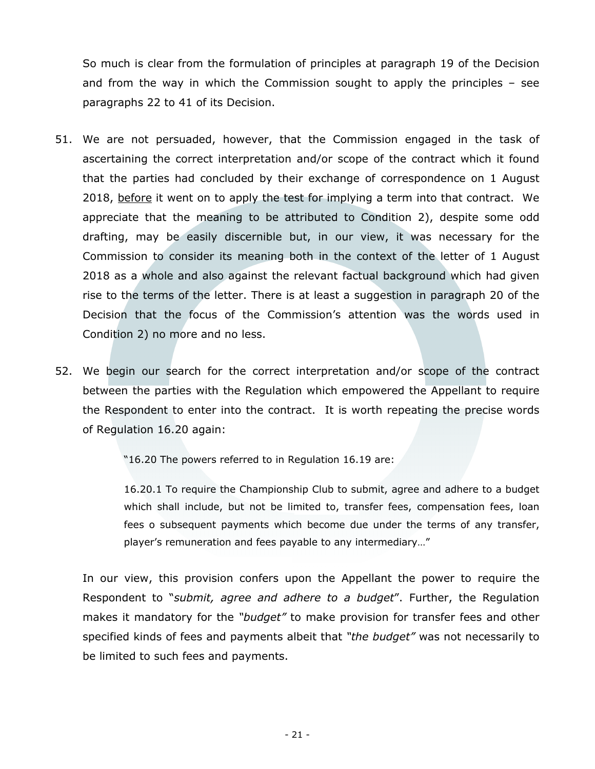So much is clear from the formulation of principles at paragraph 19 of the Decision and from the way in which the Commission sought to apply the principles – see paragraphs 22 to 41 of its Decision.

- 51. We are not persuaded, however, that the Commission engaged in the task of ascertaining the correct interpretation and/or scope of the contract which it found that the parties had concluded by their exchange of correspondence on 1 August 2018, before it went on to apply the test for implying a term into that contract. We appreciate that the meaning to be attributed to Condition 2), despite some odd drafting, may be easily discernible but, in our view, it was necessary for the Commission to consider its meaning both in the context of the letter of 1 August 2018 as a whole and also against the relevant factual background which had given rise to the terms of the letter. There is at least a suggestion in paragraph 20 of the Decision that the focus of the Commission's attention was the words used in Condition 2) no more and no less.
- 52. We begin our search for the correct interpretation and/or scope of the contract between the parties with the Regulation which empowered the Appellant to require the Respondent to enter into the contract. It is worth repeating the precise words of Regulation 16.20 again:

"16.20 The powers referred to in Regulation 16.19 are:

16.20.1 To require the Championship Club to submit, agree and adhere to a budget which shall include, but not be limited to, transfer fees, compensation fees, loan fees o subsequent payments which become due under the terms of any transfer, player's remuneration and fees payable to any intermediary…"

In our view, this provision confers upon the Appellant the power to require the Respondent to "*submit, agree and adhere to a budget*". Further, the Regulation makes it mandatory for the *"budget"* to make provision for transfer fees and other specified kinds of fees and payments albeit that *"the budget"* was not necessarily to be limited to such fees and payments.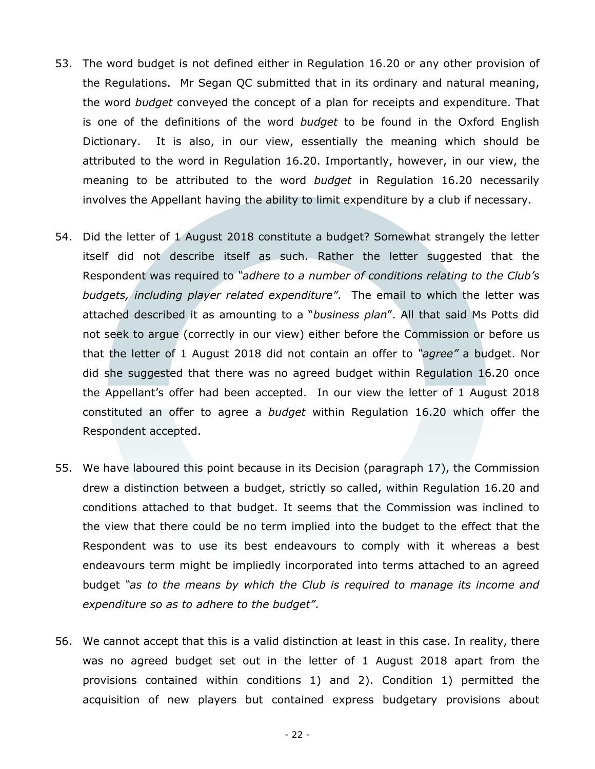- 53. The word budget is not defined either in Regulation 16.20 or any other provision of the Regulations. Mr Segan QC submitted that in its ordinary and natural meaning, the word *budget* conveyed the concept of a plan for receipts and expenditure. That is one of the definitions of the word *budget* to be found in the Oxford English Dictionary. It is also, in our view, essentially the meaning which should be attributed to the word in Regulation 16.20. Importantly, however, in our view, the meaning to be attributed to the word *budget* in Regulation 16.20 necessarily involves the Appellant having the ability to limit expenditure by a club if necessary.
- 54. Did the letter of 1 August 2018 constitute a budget? Somewhat strangely the letter itself did not describe itself as such. Rather the letter suggested that the Respondent was required to *"adhere to a number of conditions relating to the Club's budgets, including player related expenditure"*. The email to which the letter was attached described it as amounting to a "*business plan*". All that said Ms Potts did not seek to argue (correctly in our view) either before the Commission or before us that the letter of 1 August 2018 did not contain an offer to *"agree"* a budget. Nor did she suggested that there was no agreed budget within Regulation 16.20 once the Appellant's offer had been accepted. In our view the letter of 1 August 2018 constituted an offer to agree a *budget* within Regulation 16.20 which offer the Respondent accepted.
- 55. We have laboured this point because in its Decision (paragraph 17), the Commission drew a distinction between a budget, strictly so called, within Regulation 16.20 and conditions attached to that budget. It seems that the Commission was inclined to the view that there could be no term implied into the budget to the effect that the Respondent was to use its best endeavours to comply with it whereas a best endeavours term might be impliedly incorporated into terms attached to an agreed budget *"as to the means by which the Club is required to manage its income and expenditure so as to adhere to the budget"*.
- 56. We cannot accept that this is a valid distinction at least in this case. In reality, there was no agreed budget set out in the letter of 1 August 2018 apart from the provisions contained within conditions 1) and 2). Condition 1) permitted the acquisition of new players but contained express budgetary provisions about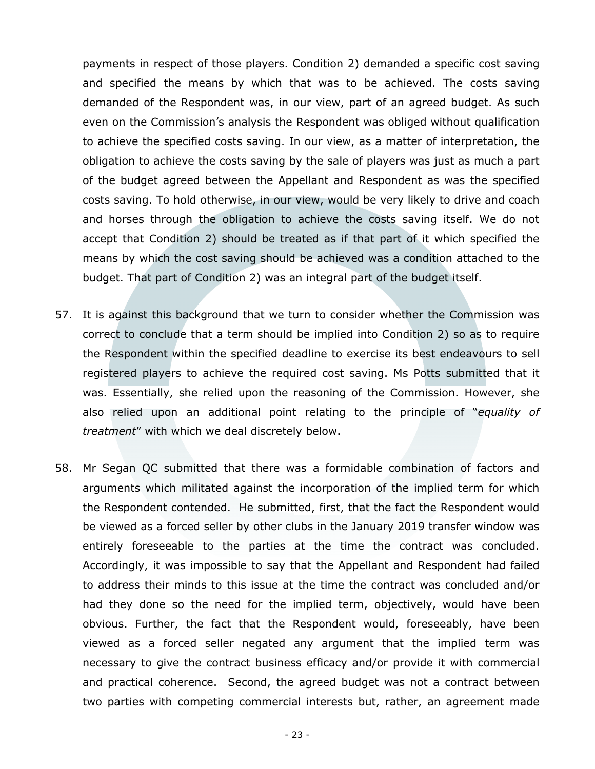payments in respect of those players. Condition 2) demanded a specific cost saving and specified the means by which that was to be achieved. The costs saving demanded of the Respondent was, in our view, part of an agreed budget. As such even on the Commission's analysis the Respondent was obliged without qualification to achieve the specified costs saving. In our view, as a matter of interpretation, the obligation to achieve the costs saving by the sale of players was just as much a part of the budget agreed between the Appellant and Respondent as was the specified costs saving. To hold otherwise, in our view, would be very likely to drive and coach and horses through the obligation to achieve the costs saving itself. We do not accept that Condition 2) should be treated as if that part of it which specified the means by which the cost saving should be achieved was a condition attached to the budget. That part of Condition 2) was an integral part of the budget itself.

- 57. It is against this background that we turn to consider whether the Commission was correct to conclude that a term should be implied into Condition 2) so as to require the Respondent within the specified deadline to exercise its best endeavours to sell registered players to achieve the required cost saving. Ms Potts submitted that it was. Essentially, she relied upon the reasoning of the Commission. However, she also relied upon an additional point relating to the principle of "*equality of treatment*" with which we deal discretely below.
- 58. Mr Segan QC submitted that there was a formidable combination of factors and arguments which militated against the incorporation of the implied term for which the Respondent contended. He submitted, first, that the fact the Respondent would be viewed as a forced seller by other clubs in the January 2019 transfer window was entirely foreseeable to the parties at the time the contract was concluded. Accordingly, it was impossible to say that the Appellant and Respondent had failed to address their minds to this issue at the time the contract was concluded and/or had they done so the need for the implied term, objectively, would have been obvious. Further, the fact that the Respondent would, foreseeably, have been viewed as a forced seller negated any argument that the implied term was necessary to give the contract business efficacy and/or provide it with commercial and practical coherence. Second, the agreed budget was not a contract between two parties with competing commercial interests but, rather, an agreement made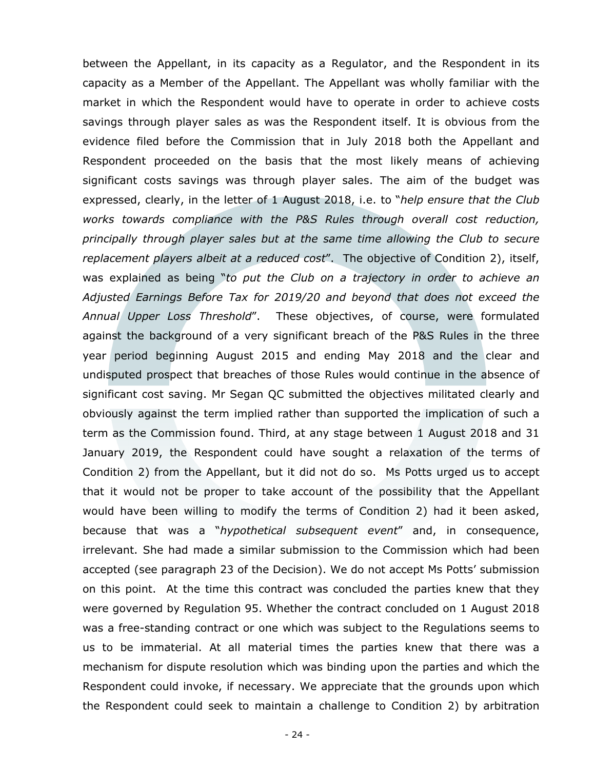between the Appellant, in its capacity as a Regulator, and the Respondent in its capacity as a Member of the Appellant. The Appellant was wholly familiar with the market in which the Respondent would have to operate in order to achieve costs savings through player sales as was the Respondent itself. It is obvious from the evidence filed before the Commission that in July 2018 both the Appellant and Respondent proceeded on the basis that the most likely means of achieving significant costs savings was through player sales. The aim of the budget was expressed, clearly, in the letter of 1 August 2018, i.e. to "*help ensure that the Club works towards compliance with the P&S Rules through overall cost reduction, principally through player sales but at the same time allowing the Club to secure replacement players albeit at a reduced cost*". The objective of Condition 2), itself, was explained as being "*to put the Club on a trajectory in order to achieve an Adjusted Earnings Before Tax for 2019/20 and beyond that does not exceed the Annual Upper Loss Threshold*". These objectives, of course, were formulated against the background of a very significant breach of the P&S Rules in the three year period beginning August 2015 and ending May 2018 and the clear and undisputed prospect that breaches of those Rules would continue in the absence of significant cost saving. Mr Segan QC submitted the objectives militated clearly and obviously against the term implied rather than supported the implication of such a term as the Commission found. Third, at any stage between 1 August 2018 and 31 January 2019, the Respondent could have sought a relaxation of the terms of Condition 2) from the Appellant, but it did not do so. Ms Potts urged us to accept that it would not be proper to take account of the possibility that the Appellant would have been willing to modify the terms of Condition 2) had it been asked, because that was a "*hypothetical subsequent event*" and, in consequence, irrelevant. She had made a similar submission to the Commission which had been accepted (see paragraph 23 of the Decision). We do not accept Ms Potts' submission on this point. At the time this contract was concluded the parties knew that they were governed by Regulation 95. Whether the contract concluded on 1 August 2018 was a free-standing contract or one which was subject to the Regulations seems to us to be immaterial. At all material times the parties knew that there was a mechanism for dispute resolution which was binding upon the parties and which the Respondent could invoke, if necessary. We appreciate that the grounds upon which the Respondent could seek to maintain a challenge to Condition 2) by arbitration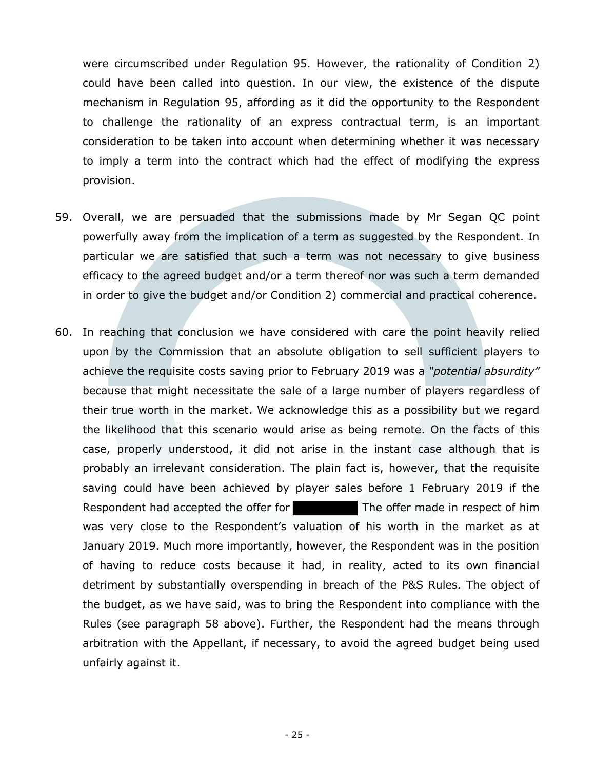were circumscribed under Regulation 95. However, the rationality of Condition 2) could have been called into question. In our view, the existence of the dispute mechanism in Regulation 95, affording as it did the opportunity to the Respondent to challenge the rationality of an express contractual term, is an important consideration to be taken into account when determining whether it was necessary to imply a term into the contract which had the effect of modifying the express provision.

- 59. Overall, we are persuaded that the submissions made by Mr Segan QC point powerfully away from the implication of a term as suggested by the Respondent. In particular we are satisfied that such a term was not necessary to give business efficacy to the agreed budget and/or a term thereof nor was such a term demanded in order to give the budget and/or Condition 2) commercial and practical coherence.
- 60. In reaching that conclusion we have considered with care the point heavily relied upon by the Commission that an absolute obligation to sell sufficient players to achieve the requisite costs saving prior to February 2019 was a *"potential absurdity"*  because that might necessitate the sale of a large number of players regardless of their true worth in the market. We acknowledge this as a possibility but we regard the likelihood that this scenario would arise as being remote. On the facts of this case, properly understood, it did not arise in the instant case although that is probably an irrelevant consideration. The plain fact is, however, that the requisite saving could have been achieved by player sales before 1 February 2019 if the Respondent had accepted the offer for The offer made in respect of him was very close to the Respondent's valuation of his worth in the market as at January 2019. Much more importantly, however, the Respondent was in the position of having to reduce costs because it had, in reality, acted to its own financial detriment by substantially overspending in breach of the P&S Rules. The object of the budget, as we have said, was to bring the Respondent into compliance with the Rules (see paragraph 58 above). Further, the Respondent had the means through arbitration with the Appellant, if necessary, to avoid the agreed budget being used unfairly against it.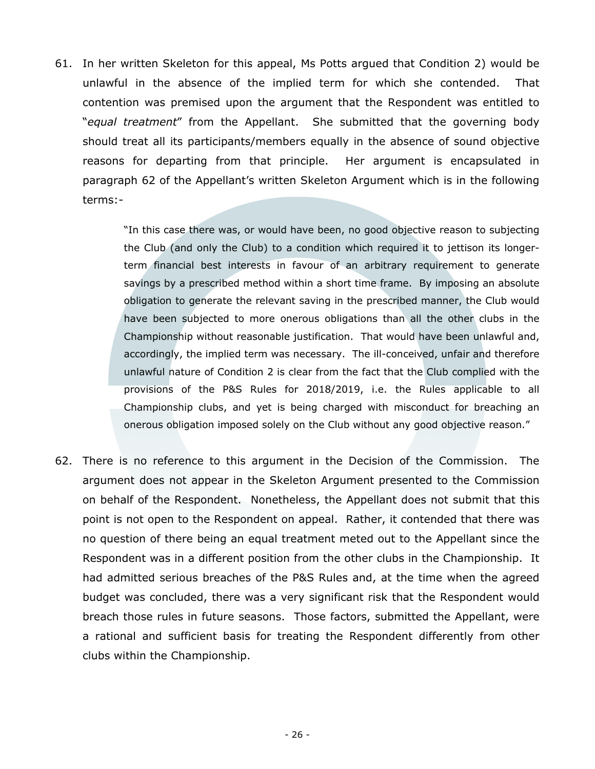61. In her written Skeleton for this appeal, Ms Potts argued that Condition 2) would be unlawful in the absence of the implied term for which she contended. That contention was premised upon the argument that the Respondent was entitled to "*equal treatment*" from the Appellant. She submitted that the governing body should treat all its participants/members equally in the absence of sound objective reasons for departing from that principle. Her argument is encapsulated in paragraph 62 of the Appellant's written Skeleton Argument which is in the following terms:-

> "In this case there was, or would have been, no good objective reason to subjecting the Club (and only the Club) to a condition which required it to jettison its longerterm financial best interests in favour of an arbitrary requirement to generate savings by a prescribed method within a short time frame. By imposing an absolute obligation to generate the relevant saving in the prescribed manner, the Club would have been subjected to more onerous obligations than all the other clubs in the Championship without reasonable justification. That would have been unlawful and, accordingly, the implied term was necessary. The ill-conceived, unfair and therefore unlawful nature of Condition 2 is clear from the fact that the Club complied with the provisions of the P&S Rules for 2018/2019, i.e. the Rules applicable to all Championship clubs, and yet is being charged with misconduct for breaching an onerous obligation imposed solely on the Club without any good objective reason."

62. There is no reference to this argument in the Decision of the Commission. The argument does not appear in the Skeleton Argument presented to the Commission on behalf of the Respondent. Nonetheless, the Appellant does not submit that this point is not open to the Respondent on appeal. Rather, it contended that there was no question of there being an equal treatment meted out to the Appellant since the Respondent was in a different position from the other clubs in the Championship. It had admitted serious breaches of the P&S Rules and, at the time when the agreed budget was concluded, there was a very significant risk that the Respondent would breach those rules in future seasons. Those factors, submitted the Appellant, were a rational and sufficient basis for treating the Respondent differently from other clubs within the Championship.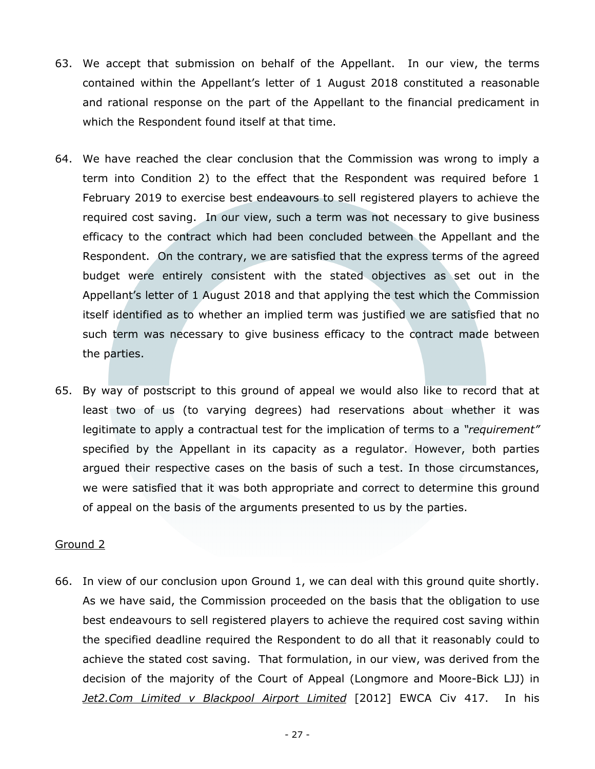- 63. We accept that submission on behalf of the Appellant. In our view, the terms contained within the Appellant's letter of 1 August 2018 constituted a reasonable and rational response on the part of the Appellant to the financial predicament in which the Respondent found itself at that time.
- 64. We have reached the clear conclusion that the Commission was wrong to imply a term into Condition 2) to the effect that the Respondent was required before 1 February 2019 to exercise best endeavours to sell registered players to achieve the required cost saving. In our view, such a term was not necessary to give business efficacy to the contract which had been concluded between the Appellant and the Respondent. On the contrary, we are satisfied that the express terms of the agreed budget were entirely consistent with the stated objectives as set out in the Appellant's letter of 1 August 2018 and that applying the test which the Commission itself identified as to whether an implied term was justified we are satisfied that no such term was necessary to give business efficacy to the contract made between the parties.
- 65. By way of postscript to this ground of appeal we would also like to record that at least two of us (to varying degrees) had reservations about whether it was legitimate to apply a contractual test for the implication of terms to a *"requirement"* specified by the Appellant in its capacity as a regulator. However, both parties argued their respective cases on the basis of such a test. In those circumstances, we were satisfied that it was both appropriate and correct to determine this ground of appeal on the basis of the arguments presented to us by the parties.

#### Ground 2

66. In view of our conclusion upon Ground 1, we can deal with this ground quite shortly. As we have said, the Commission proceeded on the basis that the obligation to use best endeavours to sell registered players to achieve the required cost saving within the specified deadline required the Respondent to do all that it reasonably could to achieve the stated cost saving. That formulation, in our view, was derived from the decision of the majority of the Court of Appeal (Longmore and Moore-Bick LJJ) in *Jet2.Com Limited v Blackpool Airport Limited* [2012] EWCA Civ 417. In his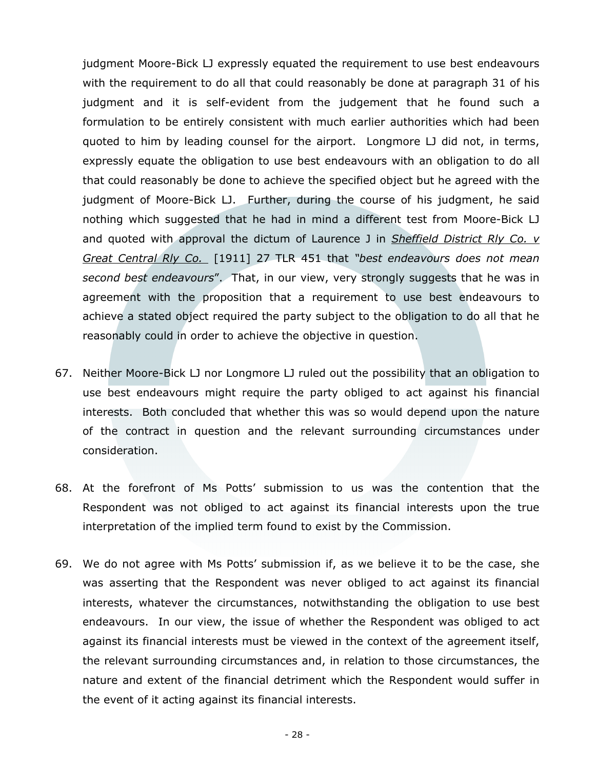judgment Moore-Bick LJ expressly equated the requirement to use best endeavours with the requirement to do all that could reasonably be done at paragraph 31 of his judgment and it is self-evident from the judgement that he found such a formulation to be entirely consistent with much earlier authorities which had been quoted to him by leading counsel for the airport. Longmore LJ did not, in terms, expressly equate the obligation to use best endeavours with an obligation to do all that could reasonably be done to achieve the specified object but he agreed with the judgment of Moore-Bick LJ. Further, during the course of his judgment, he said nothing which suggested that he had in mind a different test from Moore-Bick LJ and quoted with approval the dictum of Laurence J in *Sheffield District Rly Co. v Great Central Rly Co.* [1911] 27 TLR 451 that *"best endeavours does not mean second best endeavours*". That, in our view, very strongly suggests that he was in agreement with the proposition that a requirement to use best endeavours to achieve a stated object required the party subject to the obligation to do all that he reasonably could in order to achieve the objective in question.

- 67. Neither Moore-Bick LJ nor Longmore LJ ruled out the possibility that an obligation to use best endeavours might require the party obliged to act against his financial interests. Both concluded that whether this was so would depend upon the nature of the contract in question and the relevant surrounding circumstances under consideration.
- 68. At the forefront of Ms Potts' submission to us was the contention that the Respondent was not obliged to act against its financial interests upon the true interpretation of the implied term found to exist by the Commission.
- 69. We do not agree with Ms Potts' submission if, as we believe it to be the case, she was asserting that the Respondent was never obliged to act against its financial interests, whatever the circumstances, notwithstanding the obligation to use best endeavours. In our view, the issue of whether the Respondent was obliged to act against its financial interests must be viewed in the context of the agreement itself, the relevant surrounding circumstances and, in relation to those circumstances, the nature and extent of the financial detriment which the Respondent would suffer in the event of it acting against its financial interests.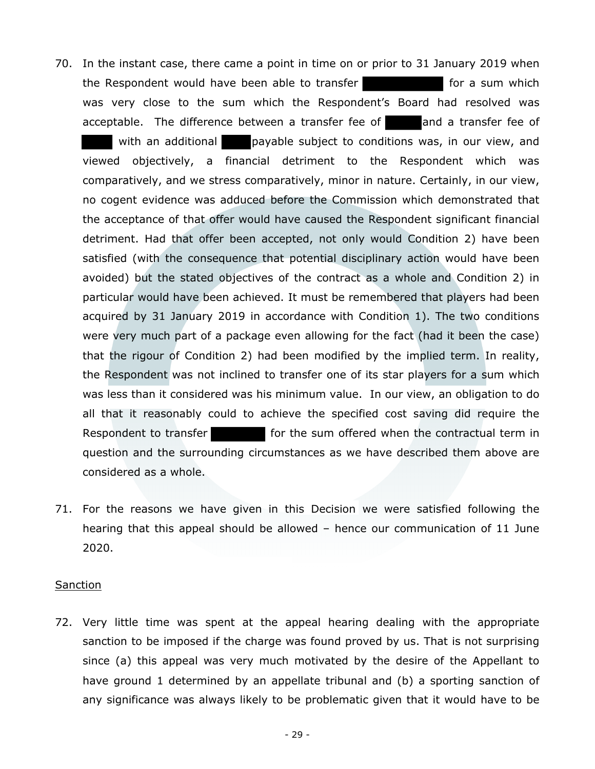- 70. In the instant case, there came a point in time on or prior to 31 January 2019 when the Respondent would have been able to transfer for a sum which was very close to the sum which the Respondent's Board had resolved was acceptable. The difference between a transfer fee of and a transfer fee of with an additional payable subject to conditions was, in our view, and viewed objectively, a financial detriment to the Respondent which was comparatively, and we stress comparatively, minor in nature. Certainly, in our view, no cogent evidence was adduced before the Commission which demonstrated that the acceptance of that offer would have caused the Respondent significant financial detriment. Had that offer been accepted, not only would Condition 2) have been satisfied (with the consequence that potential disciplinary action would have been avoided) but the stated objectives of the contract as a whole and Condition 2) in particular would have been achieved. It must be remembered that players had been acquired by 31 January 2019 in accordance with Condition 1). The two conditions were very much part of a package even allowing for the fact (had it been the case) that the rigour of Condition 2) had been modified by the implied term. In reality, the Respondent was not inclined to transfer one of its star players for a sum which was less than it considered was his minimum value. In our view, an obligation to do all that it reasonably could to achieve the specified cost saving did require the Respondent to transfer **for the sum offered when the contractual term in** question and the surrounding circumstances as we have described them above are considered as a whole.
- 71. For the reasons we have given in this Decision we were satisfied following the hearing that this appeal should be allowed – hence our communication of 11 June 2020.

#### **Sanction**

72. Very little time was spent at the appeal hearing dealing with the appropriate sanction to be imposed if the charge was found proved by us. That is not surprising since (a) this appeal was very much motivated by the desire of the Appellant to have ground 1 determined by an appellate tribunal and (b) a sporting sanction of any significance was always likely to be problematic given that it would have to be